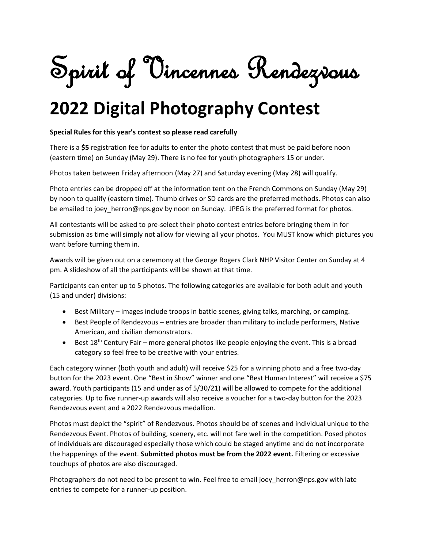Spirit of Vincennes Rendezvous

## **2022 Digital Photography Contest**

## **Special Rules for this year's contest so please read carefully**

There is a **\$5** registration fee for adults to enter the photo contest that must be paid before noon (eastern time) on Sunday (May 29). There is no fee for youth photographers 15 or under.

Photos taken between Friday afternoon (May 27) and Saturday evening (May 28) will qualify.

Photo entries can be dropped off at the information tent on the French Commons on Sunday (May 29) by noon to qualify (eastern time). Thumb drives or SD cards are the preferred methods. Photos can also be emailed to joey\_herron@nps.gov by noon on Sunday. JPEG is the preferred format for photos.

All contestants will be asked to pre-select their photo contest entries before bringing them in for submission as time will simply not allow for viewing all your photos. You MUST know which pictures you want before turning them in.

Awards will be given out on a ceremony at the George Rogers Clark NHP Visitor Center on Sunday at 4 pm. A slideshow of all the participants will be shown at that time.

Participants can enter up to 5 photos. The following categories are available for both adult and youth (15 and under) divisions:

- Best Military images include troops in battle scenes, giving talks, marching, or camping.
- Best People of Rendezvous entries are broader than military to include performers, Native American, and civilian demonstrators.
- **•** Best  $18<sup>th</sup>$  Century Fair more general photos like people enjoying the event. This is a broad category so feel free to be creative with your entries.

Each category winner (both youth and adult) will receive \$25 for a winning photo and a free two-day button for the 2023 event. One "Best in Show" winner and one "Best Human Interest" will receive a \$75 award. Youth participants (15 and under as of 5/30/21) will be allowed to compete for the additional categories. Up to five runner-up awards will also receive a voucher for a two-day button for the 2023 Rendezvous event and a 2022 Rendezvous medallion.

Photos must depict the "spirit" of Rendezvous. Photos should be of scenes and individual unique to the Rendezvous Event. Photos of building, scenery, etc. will not fare well in the competition. Posed photos of individuals are discouraged especially those which could be staged anytime and do not incorporate the happenings of the event. **Submitted photos must be from the 2022 event.** Filtering or excessive touchups of photos are also discouraged.

Photographers do not need to be present to win. Feel free to email joey\_herron@nps.gov with late entries to compete for a runner-up position.